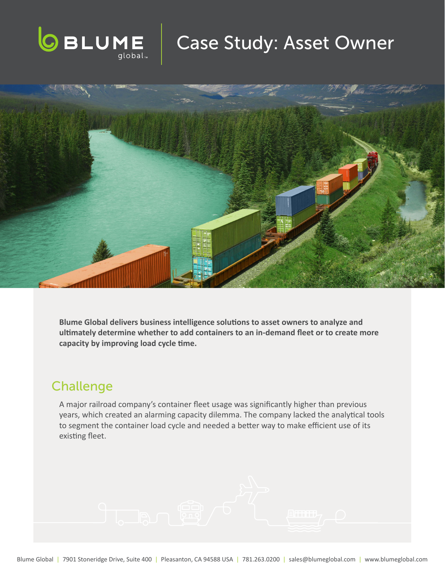

# Case Study: Asset Owner



**Blume Global delivers business intelligence solutions to asset owners to analyze and ultimately determine whether to add containers to an in-demand fleet or to create more capacity by improving load cycle time.** 

## **Challenge**

A major railroad company's container fleet usage was significantly higher than previous years, which created an alarming capacity dilemma. The company lacked the analytical tools to segment the container load cycle and needed a better way to make efficient use of its existing fleet.